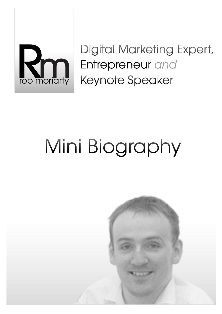

Digital Marketing Expert, Entrepreneur and **Keynote Speaker** 

## Mini Biography

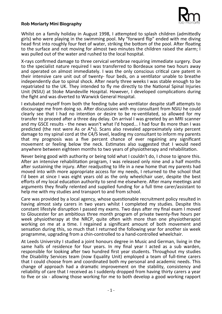

## **Rob Moriarty Mini Biography**

Whilst on a family holiday in August 1998, I atempted to splash children (admitedly girls) who were playing in the swimming pool. My "forward fip" ended with me diving head first into roughly four feet of water, striking the bottom of the pool. After floating to the surface and not moving for almost two minutes the children raised the alarm; I was pulled out of the water and rushed to the local hospital.

X-rays confrmed damage to three cervical vertebrae requiring immediate surgery. Due to the specialist nature required I was transferred to Bordeaux some two hours away and operated on almost immediately. I was the only conscious critical care patent in their intensive care unit out of twenty- four beds, on a ventlator unable to breathe independently due to spinal shock. Afer nearly three weeks I was stable enough to be repatriated to the UK. They intended to fy me directly to the Natonal Spinal Injuries Unit (NSIU) at Stoke Mandeville Hospital. However, I developed complications during the fght and was diverted to Warwick General Hospital.

I extubated myself from both the feeding tube and ventilator despite staff attempts to discourage me from doing so. Afer discussions with my consultant from NSIU he could clearly see that I had no intenton or desire to be re-ventlated, so allowed for my transfer to proceed after a three day delay. On arrival I was greeted by an MRI scanner and my GSCE results - the news wasn't what I'd hoped... I had four Bs more than I was predicted (the rest were As or A\*s). Scans also revealed approximately sixty percent damage to my spinal cord at the C4/5 level, leading my consultant to inform my parents that my prognosis was a five percent chance of ever regaining any significant movement or feeling below the neck. Estmates also suggested that I would need anywhere between eighteen months to two years of physiotherapy and rehabilitaton.

Never being good with authority or being told what I couldn't do, I chose to ignore this. After an intensive rehabilitation program, I was released only nine and a half months after sustaining the injury. After readjusting to life in a new home that my parents had moved into with more appropriate access for my needs, I returned to the school that I'd been at since I was eight years old as the only wheelchair user, despite the best efforts of my local education authority to send me elsewhere. After many meetings and arguments they fnally relented and supplied funding for a full tme carer/assistant to help me with my studies and transport to and from school.

Care was provided by a local agency, whose questionable recruitment policy resulted in having almost sixty carers in two years whilst I completed my studies. Despite this constant lifestyle disrupton I passed my exams. Two days afer my fnal exam I moved to Gloucester for an ambitous three month program of private twenty-fve hours per week physiotherapy at the NRCP, quite often with more than one physiotherapist working on me at a tme. I regained a signifcant amount of both movement and sensaton during this, so much that I returned the following year for another six week programme, upgrading from a chin-controlled to a hand-controlled wheelchair.

At Leeds University I studied a joint honours degree in Music and German, living in the same halls of residence for four years. In my fnal year I acted as a sub warden, responsible for looking after two hundred first year students. Throughout my studies the Disability Services team (now Equality Unit) employed a team of full-tme carers that I could choose from and coordinated both my personal and academic needs. This change of approach had a dramatic improvement on the stability, consistency and reliability of care that I received as I suddenly dropped from having thirty carers a year to fve or six - allowing those working for me to both develop a good working rapport